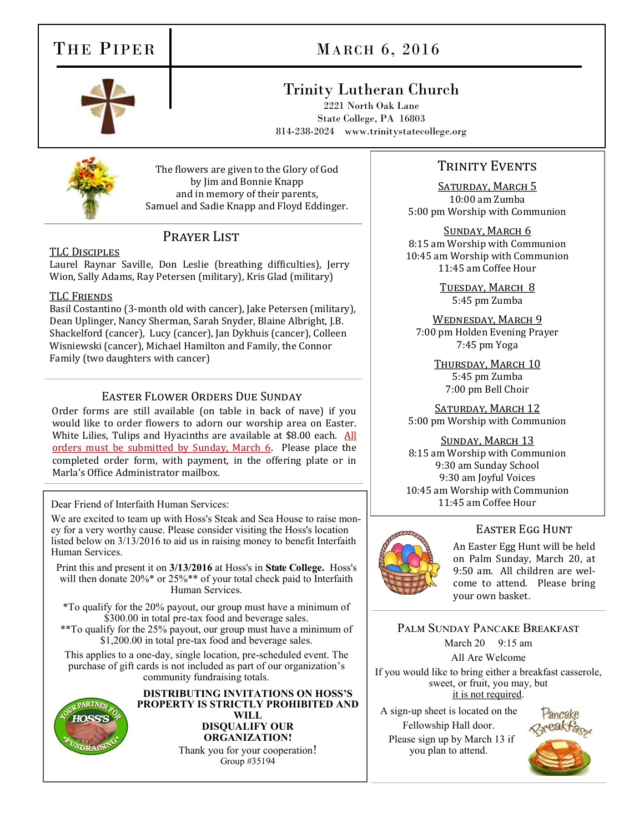# THE PIPER

# MARCH 6, 2016



## Trinity Lutheran Church

2221 North Oak Lane State College, PA 16803 814-238-2024 www.trinitystatecollege.org



The flowers are given to the Glory of God by Jim and Bonnie Knapp and in memory of their parents, Samuel and Sadie Knapp and Floyd Eddinger.

## PRAYER LIST

### TLC Disciples

Laurel Raynar Saville, Don Leslie (breathing difficulties), Jerry Wion, Sally Adams, Ray Petersen (military), Kris Glad (military)

### TLC Friends

Basil Costantino (3-month old with cancer), Jake Petersen (military), Dean Uplinger, Nancy Sherman, Sarah Snyder, Blaine Albright, J.B. Shackelford (cancer), Lucy (cancer), Jan Dykhuis (cancer), Colleen Wisniewski (cancer), Michael Hamilton and Family, the Connor Family (two daughters with cancer)

### Easter Flower Orders Due Sunday

 Order forms are still available (on table in back of nave) if you would like to order flowers to adorn our worship area on Easter. White Lilies, Tulips and Hyacinths are available at \$8.00 each. All orders must be submitted by Sunday, March 6. Please place the completed order form, with payment, in the offering plate or in Marla's Office Administrator mailbox.

### Dear Friend of Interfaith Human Services:

We are excited to team up with Hoss's Steak and Sea House to raise money for a very worthy cause. Please consider visiting the Hoss's location listed below on 3/13/2016 to aid us in raising money to benefit Interfaith Human Services.

Print this and present it on **3/13/2016** at Hoss's in **State College.** Hoss's will then donate 20%\* or 25%\*\* of your total check paid to Interfaith Human Services.

\*To qualify for the 20% payout, our group must have a minimum of \$300.00 in total pre-tax food and beverage sales. \*\*To qualify for the 25% payout, our group must have a minimum of \$1,200.00 in total pre-tax food and beverage sales.

This applies to a one-day, single location, pre-scheduled event. The purchase of gift cards is not included as part of our organization's community fundraising totals.



**DISTRIBUTING INVITATIONS ON HOSS'S PROPERTY IS STRICTLY PROHIBITED AND WILL DISQUALIFY OUR ORGANIZATION!** Thank you for your cooperation! Group #35194

### TRINITY EVENTS

SATURDAY, MARCH 5 10:00 am Zumba 5:00 pm Worship with Communion

Sunday, March 6 8:15 am Worship with Communion 10:45 am Worship with Communion 11:45 am Coffee Hour

> Tuesday, March 8 5:45 pm Zumba

WEDNESDAY, MARCH 9 7:00 pm Holden Evening Prayer 7:45 pm Yoga

> Thursday, March 10 5:45 pm Zumba 7:00 pm Bell Choir

SATURDAY, MARCH 12 5:00 pm Worship with Communion

### Sunday, March 13

8:15 am Worship with Communion 9:30 am Sunday School 9:30 am Joyful Voices 10:45 am Worship with Communion 11:45 am Coffee Hour



### Easter Egg Hunt

An Easter Egg Hunt will be held on Palm Sunday, March 20, at 9:50 am. All children are welcome to attend. Please bring your own basket.

Palm Sunday Pancake Breakfast

March 20 9:15 am

All Are Welcome

If you would like to bring either a breakfast casserole, sweet, or fruit, you may, but it is not required.

A sign-up sheet is located on the Fellowship Hall door.

 Please sign up by March 13 if you plan to attend.